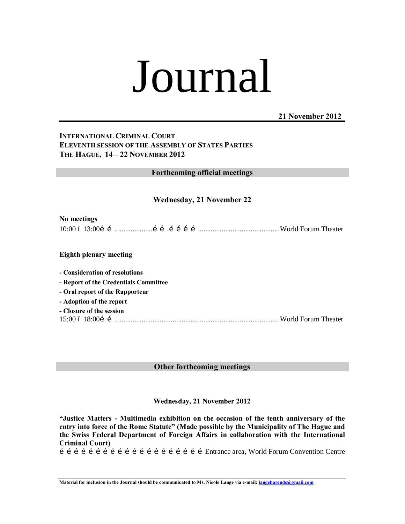# Journal

#### **21 November 2012**

#### **INTERNATIONAL CRIMINAL COURT ELEVENTH SESSION OF THE ASSEMBLY OF STATES PARTIES THE HAGUE, 14 – 22 NOVEMBER 2012**

**Forthcoming official meetings**

#### **Wednesday, 21 November 22**

#### **No meetings**

10:00 – 13:00…….....................…….………….............................................World Forum Theater

#### **Eighth plenary meeting**

**- Consideration of resolutions**

**- Report of the Credentials Committee**

**- Oral report of the Rapporteur**

**- Adoption of the report**

**- Closure of the session** 15:00 – 18:00……...........................................................................................World Forum Theater

#### **Other forthcoming meetings**

#### **Wednesday, 21 November 2012**

**"Justice Matters - Multimedia exhibition on the occasion of the tenth anniversary of the entry into force of the Rome Statute" (Made possible by the Municipality of The Hague and the Swiss Federal Department of Foreign Affairs in collaboration with the International Criminal Court)**

……………………………………………………Entrance area, World Forum Convention Centre